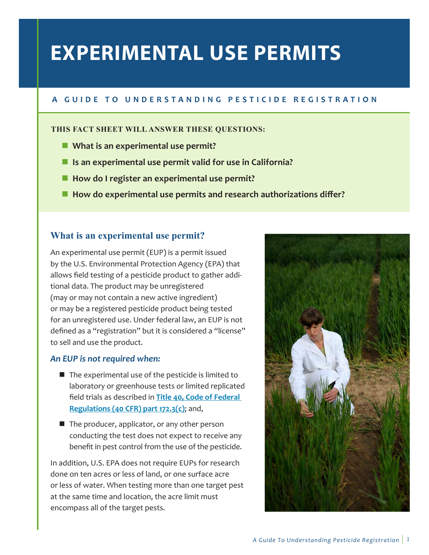# **EXPERIMENTAL USE PERMITS**

# **A G U I D E T O U N D E R S T A N D I N G P E S T I C I D E R E G I S T R A T I O N**

### **THIS FACT SHEET WILL ANSWER THESE QUESTIONS:**

- $\blacksquare$  What is an experimental use permit?
- Is an experimental use permit valid for use in California?
- **E** How do I register an experimental use permit?
- **E** How do experimental use permits and research authorizations differ?

# **What is an experimental use permit?**

An experimental use permit (EUP) is a permit issued by the U.S. Environmental Protection Agency (EPA) that allows field testing of a pesticide product to gather additional data. The product may be unregistered (may or may not contain a new active ingredient) or may be a registered pesticide product being tested for an unregistered use. Under federal law, an EUP is not defined as a "registration" but it is considered a "license" to sell and use the product.

## *An EUP is not required when:*

- The experimental use of the pesticide is limited to laboratory or greenhouse tests or limited replicated field trials as described in Title 40, Code of Federal Regulations (40 CFR) part 172.3(c); and,
- The producer, applicator, or any other person conducting the test does not expect to receive any benefit in pest control from the use of the pesticide.

In addition, U.S. EPA does not require EUPs for research done on ten acres or less of land, or one surface acre or less of water. When testing more than one target pest at the same time and location, the acre limit must encompass all of the target pests.

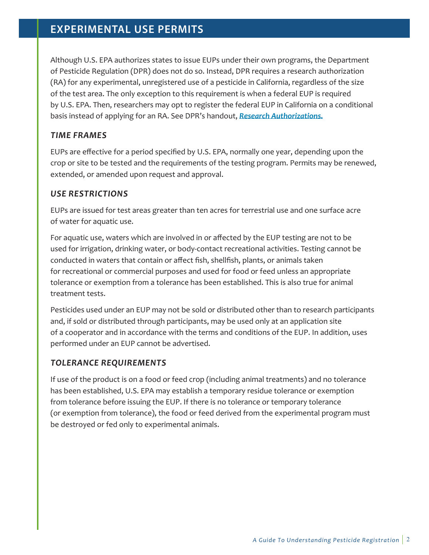# **EXPERIMENTAL USE PERMITS**

Although U.S. EPA authorizes states to issue EUPs under their own programs, the Department of Pesticide Regulation (DPR) does not do so. Instead, DPR requires a research authorization (RA) for any experimental, unregistered use of a pesticide in California, regardless of the size of the test area. The only exception to this requirement is when a federal EUP is required by U.S. EPA. Then, researchers may opt to register the federal EUP in California on a conditional basis instead of applying for an RA. See DPR's handout, *[Research Authorizations](http://www.cdpr.ca.gov/docs/registration/guides/research_authorizations.pdf).*

## *TIME FRAMES*

EUPs are effective for a period specified by U.S. EPA, normally one year, depending upon the crop or site to be tested and the requirements of the testing program. Permits may be renewed, extended, or amended upon request and approval.

## *USE RESTRICTIONS*

EUPs are issued for test areas greater than ten acres for terrestrial use and one surface acre of water for aquatic use.

For aquatic use, waters which are involved in or affected by the EUP testing are not to be used for irrigation, drinking water, or body-contact recreational activities. Testing cannot be conducted in waters that contain or affect fish, shellfish, plants, or animals taken for recreational or commercial purposes and used for food or feed unless an appropriate tolerance or exemption from a tolerance has been established. This is also true for animal treatment tests.

Pesticides used under an EUP may not be sold or distributed other than to research participants and, if sold or distributed through participants, may be used only at an application site of a cooperator and in accordance with the terms and conditions of the EUP. In addition, uses performed under an EUP cannot be advertised.

## *TOLERANCE REQUIREMENTS*

If use of the product is on a food or feed crop (including animal treatments) and no tolerance has been established, U.S. EPA may establish a temporary residue tolerance or exemption from tolerance before issuing the EUP. If there is no tolerance or temporary tolerance (or exemption from tolerance), the food or feed derived from the experimental program must be destroyed or fed only to experimental animals.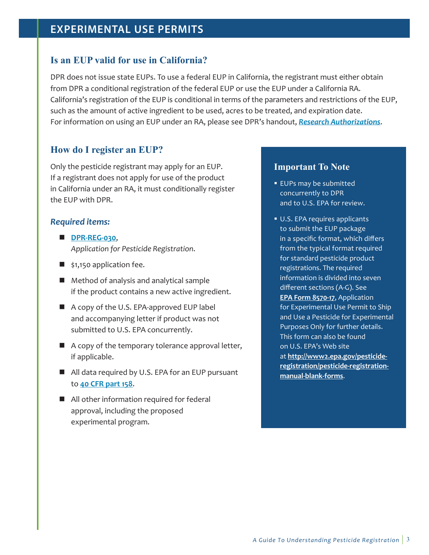# **EXPERIMENTAL USE PERMITS**

## **Is an EUP valid for use in California?**

DPR does not issue state EUPs. To use a federal EUP in California, the registrant must either obtain from DPR a conditional registration of the federal EUP or use the EUP under a California RA. California's registration of the EUP is conditional in terms of the parameters and restrictions of the EUP, such as the amount of active ingredient to be used, acres to be treated, and expiration date. For information on using an EUP under an RA, please see DPR's handout, *[Research Authorizations](http://www.cdpr.ca.gov/docs/registration/guides/research_authorizations.pdf)*.

# **How do I register an EUP?**

Only the pesticide registrant may apply for an EUP. If a registrant does not apply for use of the product in California under an RA, it must conditionally register the EUP with DPR.

## *Required items:*

- **[DPR-REG-030](http://cdpr.ca.gov/docs/registration/regforms/newappl/appmenu.htm)**, *Application for Pesticide Registration*.
- $\blacksquare$  \$1,150 application fee.
- Method of analysis and analytical sample if the product contains a new active ingredient.
- A copy of the U.S. EPA-approved EUP label and accompanying letter if product was not submitted to U.S. EPA concurrently.
- A copy of the temporary tolerance approval letter, if applicable.
- All data required by U.S. EPA for an EUP pursuant to **[40 CFR part 158](http://www.ecfr.gov/cgi-bin/text-idx?SID=9cfe014acbabfa94923cc89ad20ce77d&mc=true&node=pt40.24.158&rgn=div5)**.
- All other information required for federal approval, including the proposed experimental program.

#### **Important To Note**

- **EUPs may be submitted** concurrently to DPR and to U.S. EPA for review.
- U.S. EPA requires applicants to submit the EUP package in a specific format, which differs from the typical format required for standard pesticide product registrations. The required information is divided into seven different sections (A-G). See EPA Form 8570-17, Application for Experimental Use Permit to Ship and Use a Pesticide for Experimental Purposes Only for further details. This form can also be found on U.S. EPA's Web site at http://www2.epa.gov/pesticideregistration/pesticide-registrationmanual-blank-forms.